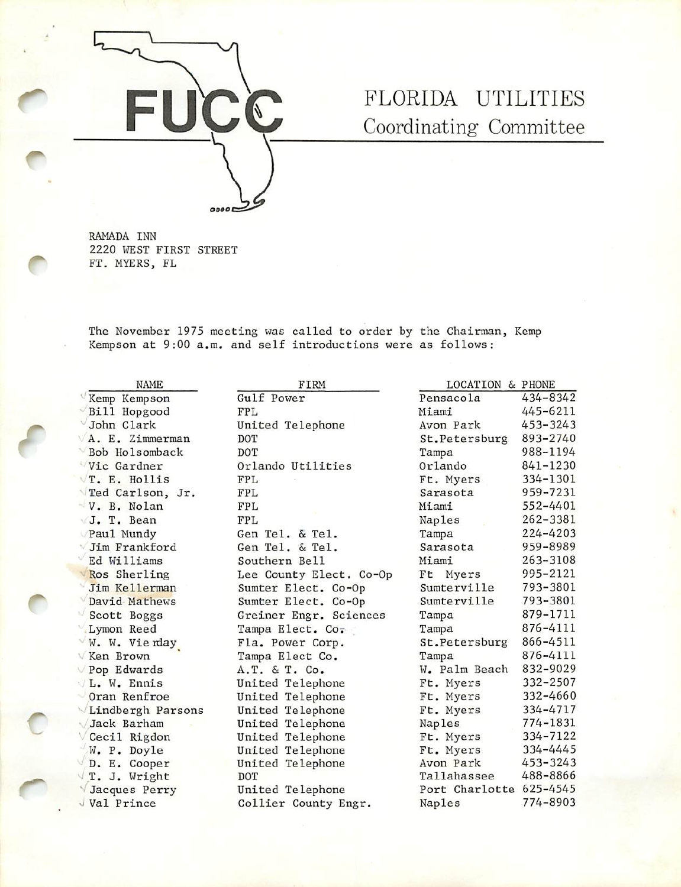

# FLORIDA UTILITIES Coordinating Committee

RAMADA INN 2220 WEST FIRST STREET FT. MYERS, FL

The November 1975 meeting was called to order by the Chairman, Kemp Kempson at 9:00 a.m. and self introductions were as follows:

 $\sqrt{Kemp$  Kempson Gulf Power Bill Hopgood FPL<br>John Clark Uni A. E. Zimmerman DOT<br>Bob Holsomback DOT  $\sqrt{\text{Bob}}$  Holsomback<br>Vic Gardner  $\sqrt{T}$ . E. Hollis FPL Ted Carlson, Jr. FPL  $\sqrt{V}$ . B. Nolan FPL<br> $\sqrt{J}$ . T. Bean FPL J. T. Bean<br>Paul Mundy  $\sqrt{$ Jim Frankford Gen Tel. & Tel.<br> $\sqrt{$ Ed Williams Southern Bell Ed Williams Southern Bell<br>Ros Sherling Lee County Ele  $\forall$ W. W. Vienday Fla. Power Corp.  $\sqrt{\text{Ken Brown}}$  Tampa Elect Co.  $V$  Pop Edwards  $A.T.$  & T. Co.  $V L. W. Ennis$  United Telephone  $\sqrt{2}$ Oran Renfroe  $\sqrt{2}$  United Telephone  $\sqrt{\text{Lindberg}}$ h Parsons United Telephone Jack Barham United Telephone  $\sqrt{C}$ Cecil Rigdon United Telephone W. P. Doyle United Telephone<br>
D. E. Cooper United Telephone  $\sqrt{T}$ . J. Wright V Jacques Perry United Telephone

f

r

United Telephone Orlando Utilities Gen Tel. & Tel. Ros Sherling Lee County Elect. Co-Op<br>Jim Kellerman Sumter Elect. Co-Op Sumter Elect. Co-Op David Mathews Sumter Elect. Co-Op Scott Boggs Greiner Engr. Sciences Lymon Reed Tampa Elect. Co. United Telephone<br>DOT  $\sqrt{Val}$  Prince  $\sqrt{Collier}$  Collier County Engr.

| NAME       | FIRM                    | LOCATION                | & PHONE  |
|------------|-------------------------|-------------------------|----------|
| mpson      | Gulf Power              | Pensacola               | 434-8342 |
| pgood      | <b>FPL</b>              | Miami                   | 445-6211 |
| ark        | United Telephone        | Avon Park               | 453-3243 |
| immerman   | DOT                     | St.Petersburg           | 893-2740 |
| somback    | DOT                     | Tampa                   | 988-1194 |
| dner       | Orlando Utilities       | Orlando                 | 841-1230 |
| ollis      | <b>FPL</b>              | Ft. Myers               | 334-1301 |
| lson, Jr.  | FPL                     | Sarasota                | 959-7231 |
| olan       | FPL                     | Miami                   | 552-4401 |
| ean        | FPL                     | Naples                  | 262-3381 |
| ndy        | Gen Tel. & Tel.         | Tampa                   | 224-4203 |
| nkford     | Gen Tel. & Tel.         | Sarasota                | 959-8989 |
| iams       | Southern Bell           | Miami                   | 263-3108 |
| rling      | Lee County Elect. Co-Op | Ft Myers                | 995-2121 |
| lerman     | Sumter Elect. Co-Op     | Sumterville             | 793-3801 |
| athews     | Sumter Elect. Co-Op     | Sumterville             | 793-3801 |
| oggs       | Greiner Engr. Sciences  | Tampa                   | 879-1711 |
| eed        | Tampa Elect. Co.        | Tampa                   | 876-4111 |
| ie rday    | Fla. Power Corp.        | St.Petersburg           | 866-4511 |
| wn         | Tampa Elect Co.         | Tampa                   | 876-4111 |
| ards       | A.T. & T. Co.           | W. Palm Beach           | 832-9029 |
| nnis       | United Telephone        | Ft. Myers               | 332-2507 |
| nfroe      | United Telephone        | Ft. Myers               | 332-4660 |
| gh Parsons | United Telephone        | Ft. Myers               | 334-4717 |
| rham       | United Telephone        | Naples                  | 774-1831 |
| igdon      | United Telephone        | Ft. Myers               | 334-7122 |
| oyle       | United Telephone        | Ft. Myers               | 334-4445 |
| ooper      | United Telephone        | Avon Park               | 453-3243 |
| right      | DOT                     | Tallahassee             | 488-8866 |
| Perry      | United Telephone        | Port Charlotte 625-4545 |          |
| nce        | Collier County Engr.    | Naples                  | 774-8903 |
|            |                         |                         |          |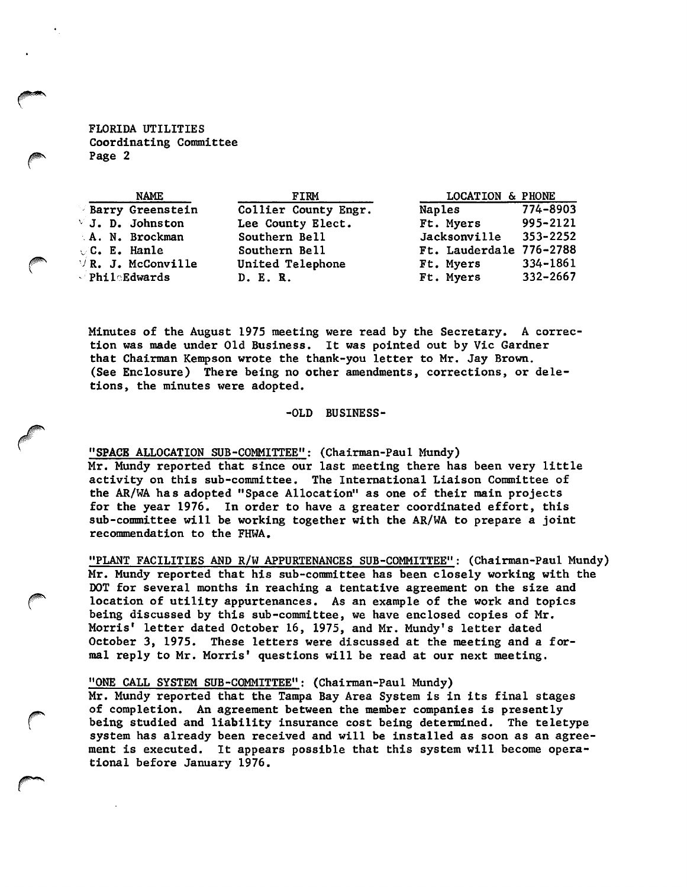FLORIDA UTILITIES Coordinating Committee Page 2

| <b>NAME</b>                                | FIRM                 | LOCATION & PHONE        |              |
|--------------------------------------------|----------------------|-------------------------|--------------|
| <b>Barry Greenstein</b>                    | Collier County Engr. | Naples                  | 774-8903     |
| $\vee$ J. D. Johnston                      | Lee County Elect.    | Ft. Myers               | 995-2121     |
| A. N. Brockman                             | Southern Bell        | Jacksonville            | 353-2252     |
| $\vee$ C. E. Hanle                         | Southern Bell        | Ft. Lauderdale 776-2788 |              |
| $\forall$ R. J. McConville                 | United Telephone     | Ft. Myers               | 334-1861     |
| $\blacksquare$ Phil $\blacksquare$ Edwards | D. E. R.             | Ft. Myers               | $332 - 2667$ |

Minutes of the August 1975 meeting were read by the Secretary. A correc tion was made under Old Business. It was pointed out by Vic Gardner that Chairman Kempson wrote the thank-you letter to Mr. Jay Brown. (See Enclosure) There being no Other amendments, corrections, or dele tions, the minutes were adopted.

# -OLD BUSINESS-

## "SPACB ALLOCATION SUB-COMMITTEE": (Chairman-Paul Mundy)

Mr. Mundy reported that since our last meeting there has been very little activity on this sub-committee. The International Liaison Committee of the AR/WA has adopted "Space Allocation" as one of their main projects for the year 1976. In order to have a greater coordinated effort, this sub-committee will be working together with the AR/WA to prepare a joint recommendation to the FHWA.

"PLANT FACILITIES AND R/W APPURTENANCES SUB-COMMITTEE" ; (Chairman-Paul Mundy) Mr. Mundy reported that his sub-committee has been closely working with the DOT for several months In reaching a tentative agreement on the size and location of utility appurtenances. As an example of the work and topics being discussed by this sub-committee, we have enclosed copies of Mr. Morris' letter dated October 16, 1975, and Mr. Mundy's letter dated October 3, 1975. These letters were discussed at the meeting and a for mal reply to Mr. Morris' questions will be read at our next meeting.

### "ONE CALL SYSTEM SUB-COMMITTEE"; (Chairman-Paul Mundy)

Mr. Mundy reported that the Tampa Bay Area System Is In Its final stages of completion. An agreement between the member companies is presently being studied and liability Insurance cost being determined. The teletype system has already been received and will be Installed as soon as an agree ment is executed. It appears possible that this system will become operational before January 1976.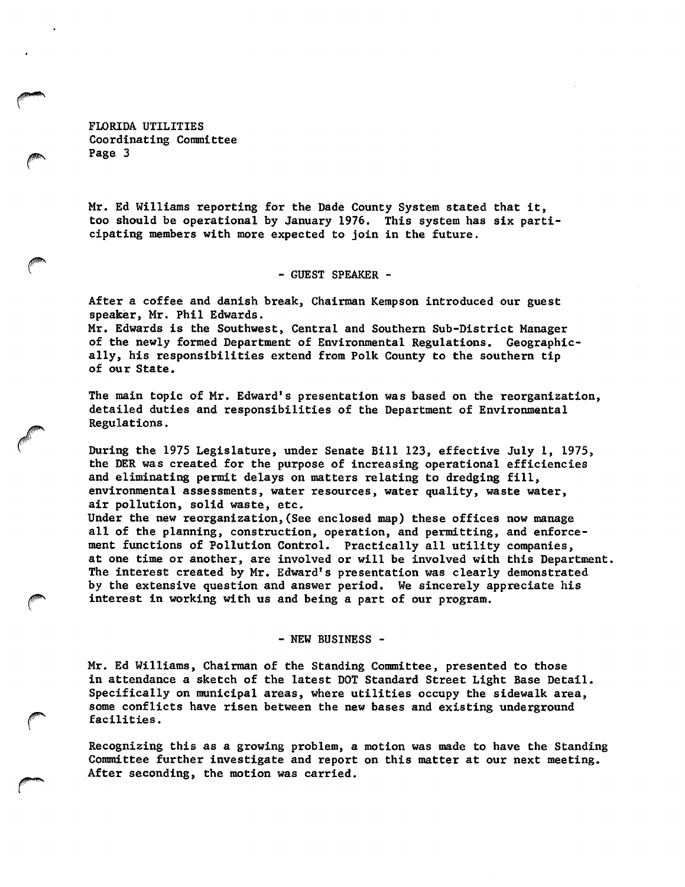FLORIDA UTILITIES Coordinating Committee Page 3

Mr. Ed Williams reporting for the Dade County System stated that it, too should be operational by January 1976. This system has six parti cipating members with more expected to join in the future.

- GUEST SPEAKER -

After a coffee and danish break, Chairman Kempson introduced our guest speaker, Mr. Phil Edwards.

Mr. Edwards is the Southwest, Central and Southern Sub-District Manager of the newly formed Department of Environmental Regulations. Geographic ally, his responsibilities extend from Polk County to the southern tip of our State.

The main topic of Mr. Edward's presentation was based on the reorganization, detailed duties and responsibilities of the Department of Environmental Regulations.

During the 1975 Legislature, under Senate Bill 123, effective July 1, 1975, the DER was created for the purpose of increasing operational efficiencies and eliminating permit delays on matters relating to dredging fill, environmental assessments, water resources, water quality, waste water, air pollution, solid waste, etc.

Under the new reorganization,(See enclosed map) these offices now manage all of the planning, construction, operation, and permitting, and enforce ment functions of Pollution Control. Practically all utility companies, at one time or another, are involved or will be involved with this Department. The interest created by Mr. Edward's presentation was clearly demonstrated by the extensive question and answer period. We sincerely appreciate his interest in working with us and being a part of our program.

- NEW BUSINESS -

Mr. Ed Williams, Chairman of the Standing Committee, presented to those in attendance a sketch of the latest DOT Standard Street Light Base Detail. Specifically on municipal areas, where utilities occupy the sidewalk area, some conflicts have risen between the new bases and existing underground facilities.

Recognizing this as a growing problem, a motion was made to have the Standing Committee further investigate and report on this matter at our next meeting. After seconding, the motion was carried.